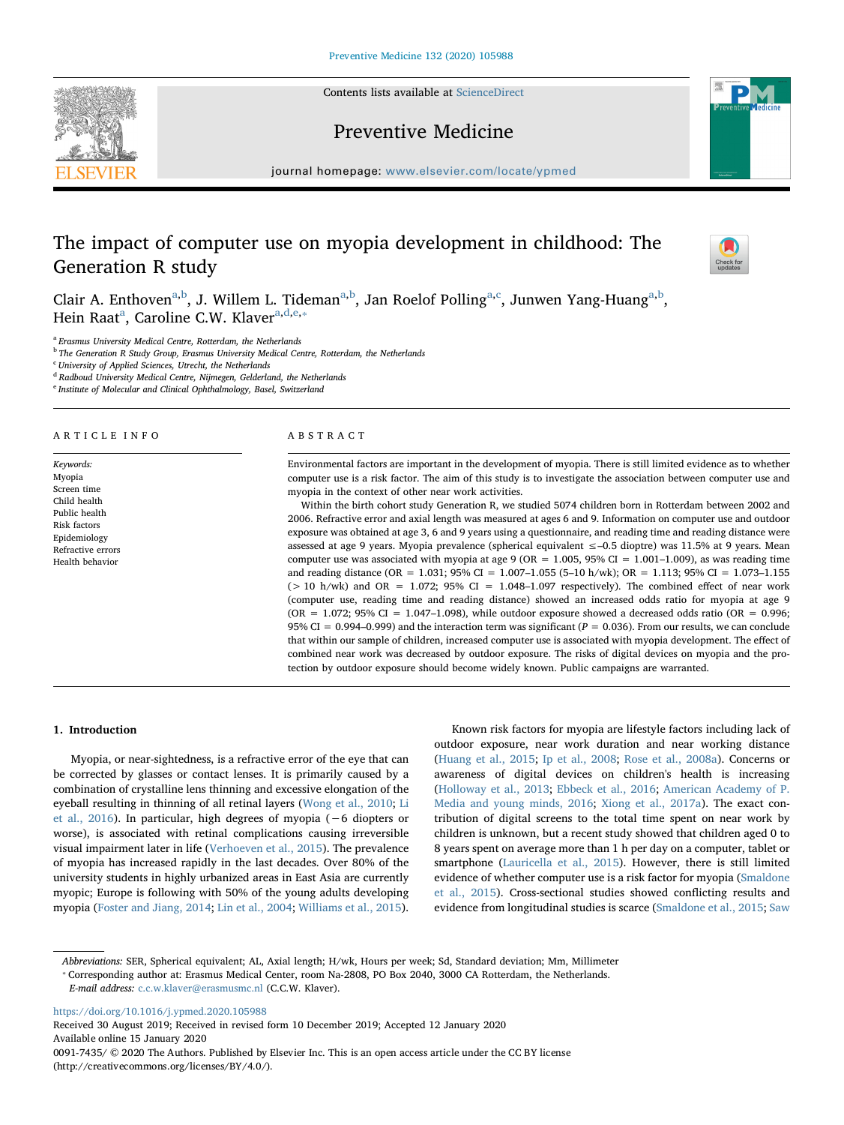Contents lists available at [ScienceDirect](http://www.sciencedirect.com/science/journal/00917435)





# Preventive Medicine

journal homepage: [www.elsevier.com/locate/ypmed](https://www.elsevier.com/locate/ypmed)

# The impact of computer use on myopia development in childhood: The Generation R study



Clair A. Enthoven<sup>[a,](#page-0-0)[b](#page-0-1)</sup>, J. Willem L. Tidem[a](#page-0-0)n<sup>a,b</sup>, Jan Roelof Polling<sup>a,[c](#page-0-2)</sup>, Junwen Yang-Huang<sup>a[,b](#page-0-1)</sup>, Hein R[a](#page-0-0)at<sup>a</sup>, Caroline C.W. Klaver<sup>a[,d,](#page-0-3)[e,](#page-0-4)</sup>\*

<span id="page-0-0"></span><sup>a</sup> Erasmus University Medical Centre, Rotterdam, the Netherlands

<span id="page-0-1"></span><sup>b</sup> The Generation R Study Group, Erasmus University Medical Centre, Rotterdam, the Netherlands

<span id="page-0-2"></span><sup>c</sup> University of Applied Sciences, Utrecht, the Netherlands

<span id="page-0-3"></span><sup>d</sup> Radboud University Medical Centre, Nijmegen, Gelderland, the Netherlands

<span id="page-0-4"></span><sup>e</sup> Institute of Molecular and Clinical Ophthalmology, Basel, Switzerland

# ARTICLE INFO

Keywords: Myopia Screen time Child health Public health Risk factors Epidemiology Refractive errors Health behavior

# ABSTRACT

Environmental factors are important in the development of myopia. There is still limited evidence as to whether computer use is a risk factor. The aim of this study is to investigate the association between computer use and myopia in the context of other near work activities.

Within the birth cohort study Generation R, we studied 5074 children born in Rotterdam between 2002 and 2006. Refractive error and axial length was measured at ages 6 and 9. Information on computer use and outdoor exposure was obtained at age 3, 6 and 9 years using a questionnaire, and reading time and reading distance were assessed at age 9 years. Myopia prevalence (spherical equivalent ≤–0.5 dioptre) was 11.5% at 9 years. Mean computer use was associated with myopia at age 9 (OR =  $1.005$ , 95% CI =  $1.001-1.009$ ), as was reading time and reading distance (OR = 1.031; 95% CI = 1.007–1.055 (5–10 h/wk); OR = 1.113; 95% CI = 1.073–1.155  $(> 10$  h/wk) and OR = 1.072; 95% CI = 1.048-1.097 respectively). The combined effect of near work (computer use, reading time and reading distance) showed an increased odds ratio for myopia at age 9  $(OR = 1.072; 95\% CI = 1.047-1.098)$ , while outdoor exposure showed a decreased odds ratio  $(OR = 0.996;$ 95% CI = 0.994–0.999) and the interaction term was significant ( $P = 0.036$ ). From our results, we can conclude that within our sample of children, increased computer use is associated with myopia development. The effect of combined near work was decreased by outdoor exposure. The risks of digital devices on myopia and the protection by outdoor exposure should become widely known. Public campaigns are warranted.

# 1. Introduction

Myopia, or near-sightedness, is a refractive error of the eye that can be corrected by glasses or contact lenses. It is primarily caused by a combination of crystalline lens thinning and excessive elongation of the eyeball resulting in thinning of all retinal layers ([Wong et al., 2010](#page-4-0); [Li](#page-4-1) [et al., 2016](#page-4-1)). In particular, high degrees of myopia (−6 diopters or worse), is associated with retinal complications causing irreversible visual impairment later in life ([Verhoeven et al., 2015\)](#page-4-2). The prevalence of myopia has increased rapidly in the last decades. Over 80% of the university students in highly urbanized areas in East Asia are currently myopic; Europe is following with 50% of the young adults developing myopia ([Foster and Jiang, 2014](#page-4-3); [Lin et al., 2004](#page-4-4); [Williams et al., 2015](#page-4-5)).

Known risk factors for myopia are lifestyle factors including lack of outdoor exposure, near work duration and near working distance ([Huang et al., 2015;](#page-4-6) [Ip et al., 2008](#page-4-7); [Rose et al., 2008a](#page-4-8)). Concerns or awareness of digital devices on children's health is increasing ([Holloway et al., 2013;](#page-4-9) [Ebbeck et al., 2016](#page-4-10); [American Academy of P.](#page-4-11) [Media and young minds, 2016;](#page-4-11) [Xiong et al., 2017a](#page-5-0)). The exact contribution of digital screens to the total time spent on near work by children is unknown, but a recent study showed that children aged 0 to 8 years spent on average more than 1 h per day on a computer, tablet or smartphone [\(Lauricella et al., 2015](#page-4-12)). However, there is still limited evidence of whether computer use is a risk factor for myopia [\(Smaldone](#page-4-13) [et al., 2015](#page-4-13)). Cross-sectional studies showed conflicting results and evidence from longitudinal studies is scarce [\(Smaldone et al., 2015](#page-4-13); [Saw](#page-4-14)

Abbreviations: SER, Spherical equivalent; AL, Axial length; H/wk, Hours per week; Sd, Standard deviation; Mm, Millimeter

E-mail address: [c.c.w.klaver@erasmusmc.nl](mailto:c.c.w.klaver@erasmusmc.nl) (C.C.W. Klaver).

<https://doi.org/10.1016/j.ypmed.2020.105988>

Received 30 August 2019; Received in revised form 10 December 2019; Accepted 12 January 2020 Available online 15 January 2020 0091-7435/ © 2020 The Authors. Published by Elsevier Inc. This is an open access article under the CC BY license (http://creativecommons.org/licenses/BY/4.0/).

<span id="page-0-5"></span><sup>⁎</sup> Corresponding author at: Erasmus Medical Center, room Na-2808, PO Box 2040, 3000 CA Rotterdam, the Netherlands.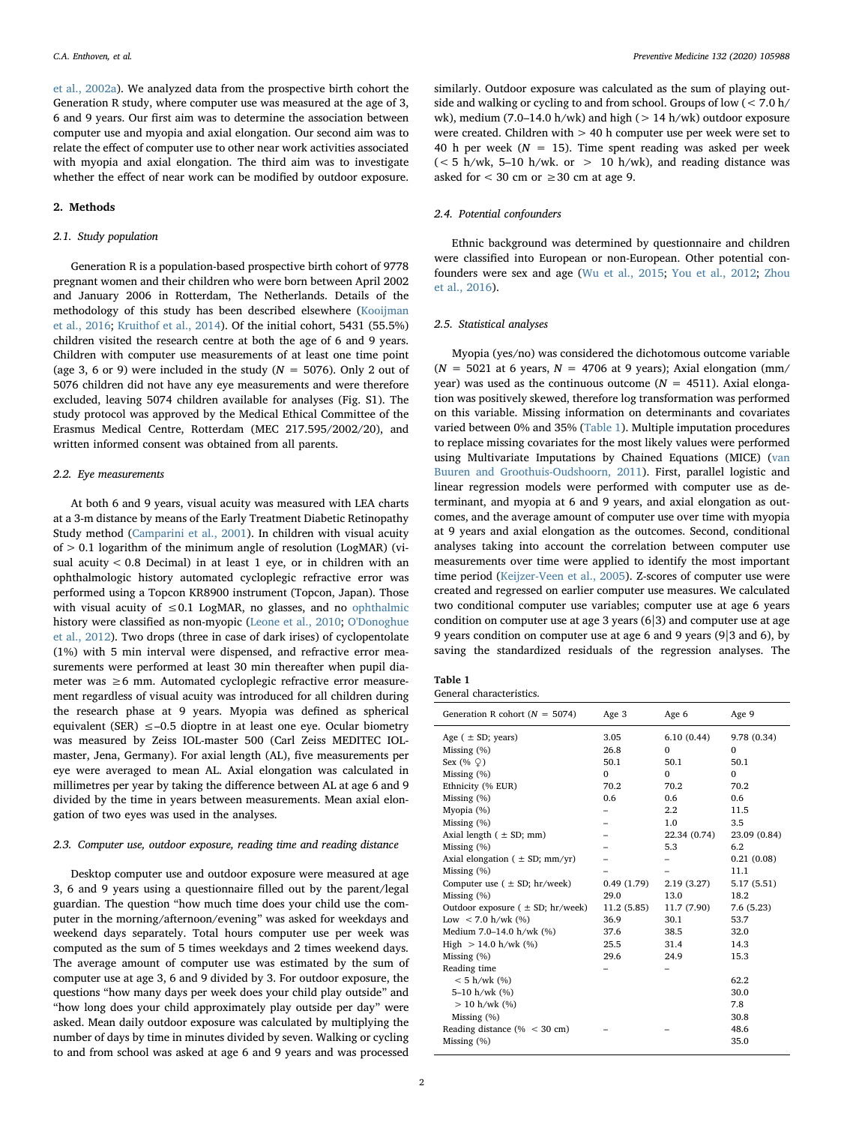[et al., 2002a](#page-4-14)). We analyzed data from the prospective birth cohort the Generation R study, where computer use was measured at the age of 3, 6 and 9 years. Our first aim was to determine the association between computer use and myopia and axial elongation. Our second aim was to relate the effect of computer use to other near work activities associated with myopia and axial elongation. The third aim was to investigate whether the effect of near work can be modified by outdoor exposure.

# 2. Methods

# 2.1. Study population

Generation R is a population-based prospective birth cohort of 9778 pregnant women and their children who were born between April 2002 and January 2006 in Rotterdam, The Netherlands. Details of the methodology of this study has been described elsewhere ([Kooijman](#page-4-15) [et al., 2016](#page-4-15); [Kruithof et al., 2014\)](#page-4-16). Of the initial cohort, 5431 (55.5%) children visited the research centre at both the age of 6 and 9 years. Children with computer use measurements of at least one time point (age 3, 6 or 9) were included in the study ( $N = 5076$ ). Only 2 out of 5076 children did not have any eye measurements and were therefore excluded, leaving 5074 children available for analyses (Fig. S1). The study protocol was approved by the Medical Ethical Committee of the Erasmus Medical Centre, Rotterdam (MEC 217.595/2002/20), and written informed consent was obtained from all parents.

#### 2.2. Eye measurements

At both 6 and 9 years, visual acuity was measured with LEA charts at a 3-m distance by means of the Early Treatment Diabetic Retinopathy Study method [\(Camparini et al., 2001](#page-4-17)). In children with visual acuity  $of > 0.1$  logarithm of the minimum angle of resolution (LogMAR) (visual acuity < 0.8 Decimal) in at least 1 eye, or in children with an ophthalmologic history automated cycloplegic refractive error was performed using a Topcon KR8900 instrument (Topcon, Japan). Those with visual acuity of  $\leq 0.1$  LogMAR, no glasses, and no [ophthalmic](https://www.sciencedirect.com/topics/medicine-and-dentistry/agents-acting-on-the-eye) history were classified as non-myopic ([Leone et al., 2010;](#page-4-18) [O'Donoghue](#page-4-19) [et al., 2012](#page-4-19)). Two drops (three in case of dark irises) of cyclopentolate (1%) with 5 min interval were dispensed, and refractive error measurements were performed at least 30 min thereafter when pupil diameter was ≥6 mm. Automated cycloplegic refractive error measurement regardless of visual acuity was introduced for all children during the research phase at 9 years. Myopia was defined as spherical equivalent (SER)  $\leq -0.5$  dioptre in at least one eye. Ocular biometry was measured by Zeiss IOL-master 500 (Carl Zeiss MEDITEC IOLmaster, Jena, Germany). For axial length (AL), five measurements per eye were averaged to mean AL. Axial elongation was calculated in millimetres per year by taking the difference between AL at age 6 and 9 divided by the time in years between measurements. Mean axial elongation of two eyes was used in the analyses.

# 2.3. Computer use, outdoor exposure, reading time and reading distance

Desktop computer use and outdoor exposure were measured at age 3, 6 and 9 years using a questionnaire filled out by the parent/legal guardian. The question "how much time does your child use the computer in the morning/afternoon/evening" was asked for weekdays and weekend days separately. Total hours computer use per week was computed as the sum of 5 times weekdays and 2 times weekend days. The average amount of computer use was estimated by the sum of computer use at age 3, 6 and 9 divided by 3. For outdoor exposure, the questions "how many days per week does your child play outside" and "how long does your child approximately play outside per day" were asked. Mean daily outdoor exposure was calculated by multiplying the number of days by time in minutes divided by seven. Walking or cycling to and from school was asked at age 6 and 9 years and was processed

similarly. Outdoor exposure was calculated as the sum of playing outside and walking or cycling to and from school. Groups of low (< 7.0 h/ wk), medium (7.0–14.0 h/wk) and high ( $> 14$  h/wk) outdoor exposure were created. Children with > 40 h computer use per week were set to 40 h per week ( $N = 15$ ). Time spent reading was asked per week  $(< 5$  h/wk, 5-10 h/wk. or  $> 10$  h/wk), and reading distance was asked for  $<$  30 cm or  $\geq$  30 cm at age 9.

# 2.4. Potential confounders

Ethnic background was determined by questionnaire and children were classified into European or non-European. Other potential confounders were sex and age ([Wu et al., 2015;](#page-5-1) [You et al., 2012;](#page-5-2) [Zhou](#page-5-3) [et al., 2016](#page-5-3)).

# 2.5. Statistical analyses

Myopia (yes/no) was considered the dichotomous outcome variable ( $N = 5021$  at 6 years,  $N = 4706$  at 9 years); Axial elongation (mm/ year) was used as the continuous outcome ( $N = 4511$ ). Axial elongation was positively skewed, therefore log transformation was performed on this variable. Missing information on determinants and covariates varied between 0% and 35% [\(Table 1\)](#page-1-0). Multiple imputation procedures to replace missing covariates for the most likely values were performed using Multivariate Imputations by Chained Equations (MICE) ([van](#page-4-20) [Buuren and Groothuis-Oudshoorn, 2011](#page-4-20)). First, parallel logistic and linear regression models were performed with computer use as determinant, and myopia at 6 and 9 years, and axial elongation as outcomes, and the average amount of computer use over time with myopia at 9 years and axial elongation as the outcomes. Second, conditional analyses taking into account the correlation between computer use measurements over time were applied to identify the most important time period [\(Keijzer-Veen et al., 2005](#page-4-21)). Z-scores of computer use were created and regressed on earlier computer use measures. We calculated two conditional computer use variables; computer use at age 6 years condition on computer use at age 3 years (6|3) and computer use at age 9 years condition on computer use at age 6 and 9 years (9|3 and 6), by saving the standardized residuals of the regression analyses. The

<span id="page-1-0"></span>

| Table 1 |                          |
|---------|--------------------------|
|         | General characteristics. |

| Generation R cohort ( $N = 5074$ )      | Age 3        | Age 6        | Age 9        |
|-----------------------------------------|--------------|--------------|--------------|
| Age $( \pm SD; \text{years})$           | 3.05         | 6.10(0.44)   | 9.78 (0.34)  |
| Missing $(\%)$                          | 26.8         | $\Omega$     | $\Omega$     |
| Sex $(\%$ $\Diamond)$                   | 50.1         | 50.1         | 50.1         |
| Missing $(\% )$                         | $\mathbf{0}$ | $\mathbf{0}$ | 0            |
| Ethnicity (% EUR)                       | 70.2         | 70.2         | 70.2         |
| Missing (%)                             | 0.6          | 0.6          | 0.6          |
| Myopia (%)                              |              | $2.2\,$      | 11.5         |
| Missing $(\%)$                          |              | 1.0          | 3.5          |
| Axial length $( \pm SD; mm)$            |              | 22.34 (0.74) | 23.09 (0.84) |
| Missing $(\%)$                          |              | 5.3          | 6.2          |
| Axial elongation ( $\pm$ SD; mm/yr)     |              |              | 0.21(0.08)   |
| Missing $(\%)$                          |              |              | 11.1         |
| Computer use $( \pm SD; hr/week)$       | 0.49(1.79)   | 2.19(3.27)   | 5.17 (5.51)  |
| Missing $(\% )$                         | 29.0         | 13.0         | 18.2         |
| Outdoor exposure $( \pm SD; hr/week)$   | 11.2(5.85)   | 11.7 (7.90)  | 7.6(5.23)    |
| Low $< 7.0$ h/wk (%)                    | 36.9         | 30.1         | 53.7         |
| Medium 7.0-14.0 h/wk (%)                | 37.6         | 38.5         | 32.0         |
| High $> 14.0$ h/wk (%)                  | 25.5         | 31.4         | 14.3         |
| Missing $(\%)$                          | 29.6         | 24.9         | 15.3         |
| Reading time                            |              |              |              |
| $< 5 h/wk$ (%)                          |              |              | 62.2         |
| 5-10 h/wk (%)                           |              |              | 30.0         |
| $> 10$ h/wk $(\%)$                      |              |              | 7.8          |
| Missing $(\%)$                          |              |              | 30.8         |
| Reading distance $(\% < 30 \text{ cm})$ |              |              | 48.6         |
| Missing $(\%)$                          |              |              | 35.0         |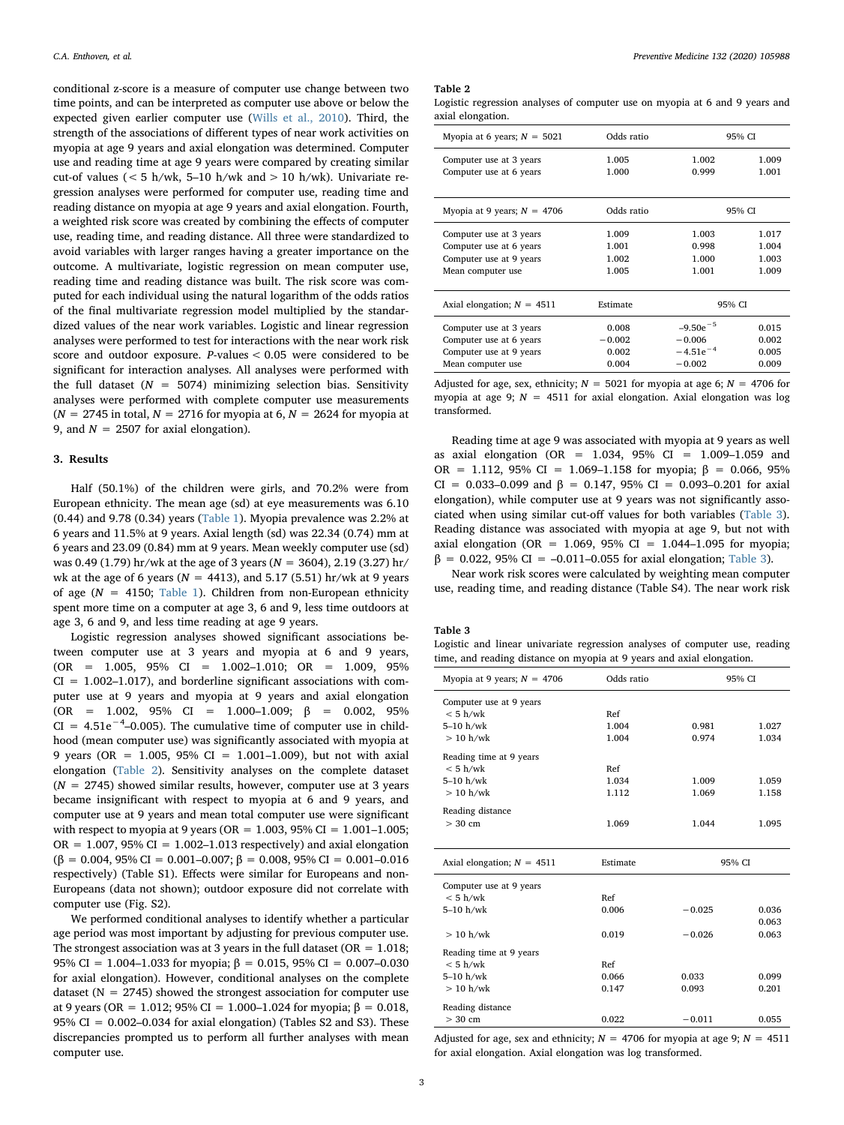conditional z-score is a measure of computer use change between two time points, and can be interpreted as computer use above or below the expected given earlier computer use [\(Wills et al., 2010\)](#page-4-22). Third, the strength of the associations of different types of near work activities on myopia at age 9 years and axial elongation was determined. Computer use and reading time at age 9 years were compared by creating similar cut-of values ( $< 5$  h/wk, 5–10 h/wk and  $> 10$  h/wk). Univariate regression analyses were performed for computer use, reading time and reading distance on myopia at age 9 years and axial elongation. Fourth, a weighted risk score was created by combining the effects of computer use, reading time, and reading distance. All three were standardized to avoid variables with larger ranges having a greater importance on the outcome. A multivariate, logistic regression on mean computer use, reading time and reading distance was built. The risk score was computed for each individual using the natural logarithm of the odds ratios of the final multivariate regression model multiplied by the standardized values of the near work variables. Logistic and linear regression analyses were performed to test for interactions with the near work risk score and outdoor exposure. P-values < 0.05 were considered to be significant for interaction analyses. All analyses were performed with the full dataset ( $N = 5074$ ) minimizing selection bias. Sensitivity analyses were performed with complete computer use measurements  $(N = 2745$  in total,  $N = 2716$  for myopia at 6,  $N = 2624$  for myopia at 9, and  $N = 2507$  for axial elongation).

#### 3. Results

Half (50.1%) of the children were girls, and 70.2% were from European ethnicity. The mean age (sd) at eye measurements was 6.10 (0.44) and 9.78 (0.34) years ([Table 1](#page-1-0)). Myopia prevalence was 2.2% at 6 years and 11.5% at 9 years. Axial length (sd) was 22.34 (0.74) mm at 6 years and 23.09 (0.84) mm at 9 years. Mean weekly computer use (sd) was 0.49 (1.79) hr/wk at the age of 3 years ( $N = 3604$ ), 2.19 (3.27) hr/ wk at the age of 6 years ( $N = 4413$ ), and 5.17 (5.51) hr/wk at 9 years of age ( $N = 4150$ ; [Table 1](#page-1-0)). Children from non-European ethnicity spent more time on a computer at age 3, 6 and 9, less time outdoors at age 3, 6 and 9, and less time reading at age 9 years.

Logistic regression analyses showed significant associations between computer use at 3 years and myopia at 6 and 9 years, (OR = 1.005, 95% CI = 1.002–1.010; OR = 1.009, 95%  $CI = 1.002 - 1.017$ , and borderline significant associations with computer use at 9 years and myopia at 9 years and axial elongation (OR = 1.002, 95% CI = 1.000–1.009; β = 0.002, 95%  $CI = 4.51e^{-4}$ -0.005). The cumulative time of computer use in childhood (mean computer use) was significantly associated with myopia at 9 years (OR = 1.005, 95% CI = 1.001–1.009), but not with axial elongation ([Table 2](#page-2-0)). Sensitivity analyses on the complete dataset  $(N = 2745)$  showed similar results, however, computer use at 3 years became insignificant with respect to myopia at 6 and 9 years, and computer use at 9 years and mean total computer use were significant with respect to myopia at 9 years (OR =  $1.003$ , 95% CI =  $1.001-1.005$ ; OR =  $1.007$ , 95% CI =  $1.002-1.013$  respectively) and axial elongation (β = 0.004, 95% CI = 0.001–0.007; β = 0.008, 95% CI = 0.001–0.016 respectively) (Table S1). Effects were similar for Europeans and non-Europeans (data not shown); outdoor exposure did not correlate with computer use (Fig. S2).

We performed conditional analyses to identify whether a particular age period was most important by adjusting for previous computer use. The strongest association was at 3 years in the full dataset ( $OR = 1.018$ ; 95% CI = 1.004–1.033 for myopia;  $β = 0.015$ , 95% CI = 0.007–0.030 for axial elongation). However, conditional analyses on the complete dataset ( $N = 2745$ ) showed the strongest association for computer use at 9 years (OR = 1.012; 95% CI = 1.000–1.024 for myopia; β = 0.018, 95% CI =  $0.002-0.034$  for axial elongation) (Tables S2 and S3). These discrepancies prompted us to perform all further analyses with mean computer use.

#### <span id="page-2-0"></span>Table 2

Logistic regression analyses of computer use on myopia at 6 and 9 years and axial elongation.

| Myopia at 6 years; $N = 5021$ | Odds ratio | 95% CI            |       |
|-------------------------------|------------|-------------------|-------|
| Computer use at 3 years       | 1.005      | 1.002             | 1.009 |
| Computer use at 6 years       | 1.000      | 0.999             | 1.001 |
| Myopia at 9 years; $N = 4706$ | Odds ratio | 95% CI            |       |
| Computer use at 3 years       | 1.009      | 1.003             | 1.017 |
| Computer use at 6 years       | 1.001      | 0.998             | 1.004 |
| Computer use at 9 years       | 1.002      | 1.000             | 1.003 |
| Mean computer use             | 1.005      | 1.001             | 1.009 |
|                               |            |                   |       |
| Axial elongation; $N = 4511$  | Estimate   | 95% CI            |       |
| Computer use at 3 years       | 0.008      | $-9.50e^{-5}$     | 0.015 |
| Computer use at 6 years       | $-0.002$   | $-0.006$          | 0.002 |
| Computer use at 9 years       | 0.002      | $-4.51e^{-4}$     | 0.005 |
| Mean computer use             | 0.004      | $-0.002$<br>0.009 |       |

Adjusted for age, sex, ethnicity;  $N = 5021$  for myopia at age 6;  $N = 4706$  for myopia at age 9;  $N = 4511$  for axial elongation. Axial elongation was log transformed.

Reading time at age 9 was associated with myopia at 9 years as well as axial elongation (OR = 1.034, 95% CI = 1.009–1.059 and OR = 1.112, 95% CI = 1.069-1.158 for myopia;  $β = 0.066, 95%$ CI = 0.033–0.099 and β = 0.147, 95% CI = 0.093–0.201 for axial elongation), while computer use at 9 years was not significantly associated when using similar cut-off values for both variables [\(Table 3](#page-2-1)). Reading distance was associated with myopia at age 9, but not with axial elongation (OR = 1.069, 95% CI = 1.044–1.095 for myopia;  $β = 0.022$ , 95% CI = -0.011-0.055 for axial elongation; [Table 3](#page-2-1)).

Near work risk scores were calculated by weighting mean computer use, reading time, and reading distance (Table S4). The near work risk

#### <span id="page-2-1"></span>Table 3

|  | Logistic and linear univariate regression analyses of computer use, reading |  |  |  |
|--|-----------------------------------------------------------------------------|--|--|--|
|  | time, and reading distance on myopia at 9 years and axial elongation.       |  |  |  |

| Myopia at 9 years; $N = 4706$ | Odds ratio | 95% CI   |       |
|-------------------------------|------------|----------|-------|
| Computer use at 9 years       |            |          |       |
| < 5 h/wk                      | Ref        |          |       |
| $5-10$ h/wk                   | 1.004      | 0.981    | 1.027 |
| $> 10$ h/wk                   | 1.004      | 0.974    | 1.034 |
| Reading time at 9 years       |            |          |       |
| < 5 h/wk                      | Ref        |          |       |
| $5-10$ h/wk                   | 1.034      | 1.009    | 1.059 |
| $> 10$ h/wk                   | 1.112      | 1.069    | 1.158 |
| Reading distance              |            |          |       |
| $> 30$ cm                     | 1.069      | 1.044    | 1.095 |
|                               |            |          |       |
|                               |            |          |       |
| Axial elongation; $N = 4511$  | Estimate   | 95% CI   |       |
| Computer use at 9 years       |            |          |       |
| < 5 h/wk                      | <b>Ref</b> |          |       |
| $5-10$ h/wk                   | 0.006      | $-0.025$ | 0.036 |
|                               |            |          | 0.063 |
| $> 10$ h/wk                   | 0.019      | $-0.026$ | 0.063 |
| Reading time at 9 years       |            |          |       |
| < 5 h/wk                      | Ref        |          |       |
| $5-10$ h/wk                   | 0.066      | 0.033    | 0.099 |
| $> 10$ h/wk                   | 0.147      | 0.093    | 0.201 |
| Reading distance              |            |          |       |

Adjusted for age, sex and ethnicity;  $N = 4706$  for myopia at age 9;  $N = 4511$ for axial elongation. Axial elongation was log transformed.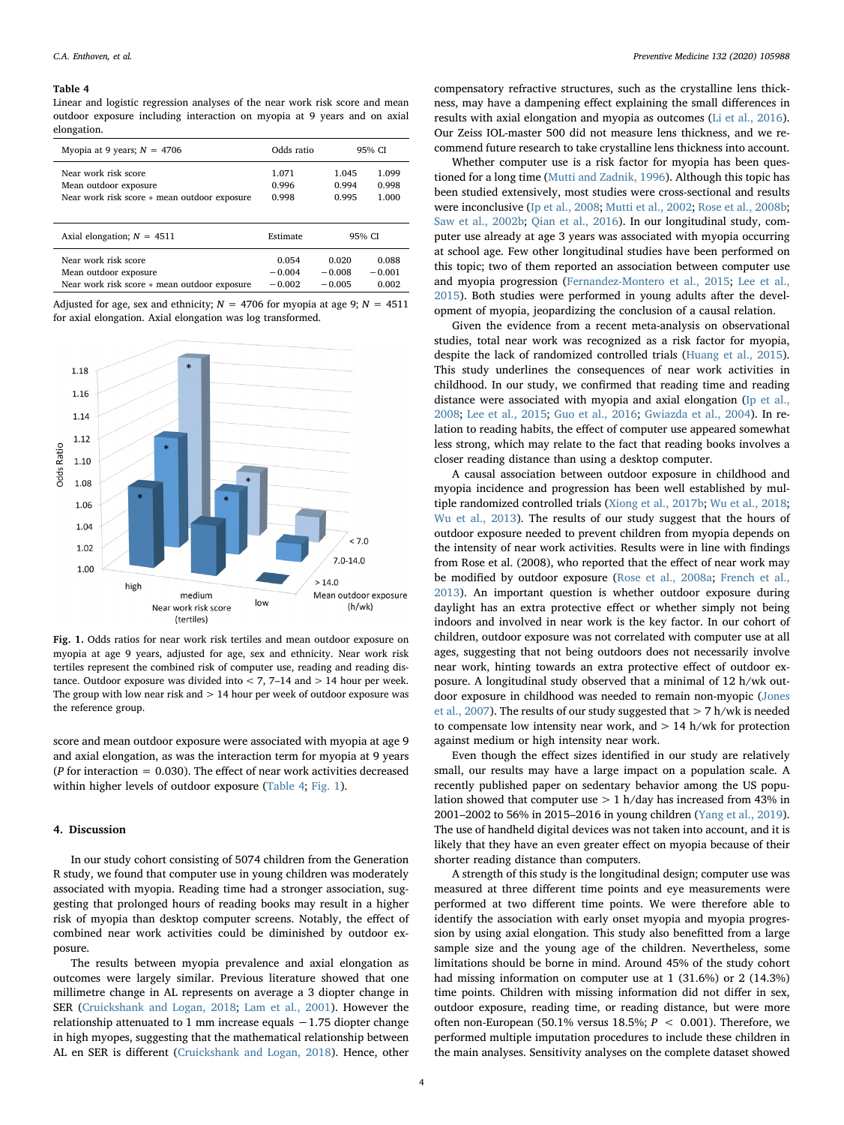#### <span id="page-3-0"></span>Table 4

Linear and logistic regression analyses of the near work risk score and mean outdoor exposure including interaction on myopia at 9 years and on axial elongation.

| Myopia at 9 years; $N = 4706$                                         | Odds ratio     | 95% CI         |                |
|-----------------------------------------------------------------------|----------------|----------------|----------------|
| Near work risk score                                                  | 1.071          | 1.045          | 1.099          |
| Mean outdoor exposure<br>Near work risk score * mean outdoor exposure | 0.996<br>0.998 | 0.994<br>0.995 | 0.998<br>1.000 |
|                                                                       |                |                |                |
| Axial elongation; $N = 4511$                                          | Estimate       | 95% CI         |                |
| Near work risk score                                                  | 0.054          | 0.020          | 0.088          |
| Mean outdoor exposure                                                 | $-0.004$       | $-0.008$       | $-0.001$       |
| Near work risk score * mean outdoor exposure                          | $-0.002$       | $-0.005$       | 0.002          |

Adjusted for age, sex and ethnicity;  $N = 4706$  for myopia at age 9;  $N = 4511$ for axial elongation. Axial elongation was log transformed.

<span id="page-3-1"></span>

Fig. 1. Odds ratios for near work risk tertiles and mean outdoor exposure on myopia at age 9 years, adjusted for age, sex and ethnicity. Near work risk tertiles represent the combined risk of computer use, reading and reading distance. Outdoor exposure was divided into  $<$  7, 7–14 and  $>$  14 hour per week. The group with low near risk and  $> 14$  hour per week of outdoor exposure was the reference group.

score and mean outdoor exposure were associated with myopia at age 9 and axial elongation, as was the interaction term for myopia at 9 years ( $P$  for interaction = 0.030). The effect of near work activities decreased within higher levels of outdoor exposure [\(Table 4](#page-3-0); [Fig. 1](#page-3-1)).

# 4. Discussion

In our study cohort consisting of 5074 children from the Generation R study, we found that computer use in young children was moderately associated with myopia. Reading time had a stronger association, suggesting that prolonged hours of reading books may result in a higher risk of myopia than desktop computer screens. Notably, the effect of combined near work activities could be diminished by outdoor exposure.

The results between myopia prevalence and axial elongation as outcomes were largely similar. Previous literature showed that one millimetre change in AL represents on average a 3 diopter change in SER [\(Cruickshank and Logan, 2018;](#page-4-23) [Lam et al., 2001\)](#page-4-24). However the relationship attenuated to 1 mm increase equals −1.75 diopter change in high myopes, suggesting that the mathematical relationship between AL en SER is different [\(Cruickshank and Logan, 2018\)](#page-4-23). Hence, other

compensatory refractive structures, such as the crystalline lens thickness, may have a dampening effect explaining the small differences in results with axial elongation and myopia as outcomes ([Li et al., 2016](#page-4-1)). Our Zeiss IOL-master 500 did not measure lens thickness, and we recommend future research to take crystalline lens thickness into account.

Whether computer use is a risk factor for myopia has been questioned for a long time ([Mutti and Zadnik, 1996\)](#page-4-25). Although this topic has been studied extensively, most studies were cross-sectional and results were inconclusive ([Ip et al., 2008](#page-4-7); [Mutti et al., 2002;](#page-4-26) [Rose et al., 2008b](#page-4-27); [Saw et al., 2002b;](#page-4-28) [Qian et al., 2016\)](#page-4-29). In our longitudinal study, computer use already at age 3 years was associated with myopia occurring at school age. Few other longitudinal studies have been performed on this topic; two of them reported an association between computer use and myopia progression [\(Fernandez-Montero et al., 2015](#page-4-30); [Lee et al.,](#page-4-31) [2015\)](#page-4-31). Both studies were performed in young adults after the development of myopia, jeopardizing the conclusion of a causal relation.

Given the evidence from a recent meta-analysis on observational studies, total near work was recognized as a risk factor for myopia, despite the lack of randomized controlled trials [\(Huang et al., 2015](#page-4-6)). This study underlines the consequences of near work activities in childhood. In our study, we confirmed that reading time and reading distance were associated with myopia and axial elongation ([Ip et al.,](#page-4-7) [2008;](#page-4-7) [Lee et al., 2015](#page-4-31); [Guo et al., 2016;](#page-4-32) [Gwiazda et al., 2004\)](#page-4-33). In relation to reading habits, the effect of computer use appeared somewhat less strong, which may relate to the fact that reading books involves a closer reading distance than using a desktop computer.

A causal association between outdoor exposure in childhood and myopia incidence and progression has been well established by multiple randomized controlled trials ([Xiong et al., 2017b;](#page-5-4) [Wu et al., 2018](#page-5-5); [Wu et al., 2013\)](#page-5-6). The results of our study suggest that the hours of outdoor exposure needed to prevent children from myopia depends on the intensity of near work activities. Results were in line with findings from Rose et al. (2008), who reported that the effect of near work may be modified by outdoor exposure ([Rose et al., 2008a;](#page-4-8) [French et al.,](#page-4-34) [2013\)](#page-4-34). An important question is whether outdoor exposure during daylight has an extra protective effect or whether simply not being indoors and involved in near work is the key factor. In our cohort of children, outdoor exposure was not correlated with computer use at all ages, suggesting that not being outdoors does not necessarily involve near work, hinting towards an extra protective effect of outdoor exposure. A longitudinal study observed that a minimal of 12 h/wk outdoor exposure in childhood was needed to remain non-myopic ([Jones](#page-4-35) [et al., 2007\)](#page-4-35). The results of our study suggested that  $> 7$  h/wk is needed to compensate low intensity near work, and  $> 14$  h/wk for protection against medium or high intensity near work.

Even though the effect sizes identified in our study are relatively small, our results may have a large impact on a population scale. A recently published paper on sedentary behavior among the US population showed that computer use  $> 1$  h/day has increased from 43% in 2001–2002 to 56% in 2015–2016 in young children [\(Yang et al., 2019](#page-5-7)). The use of handheld digital devices was not taken into account, and it is likely that they have an even greater effect on myopia because of their shorter reading distance than computers.

A strength of this study is the longitudinal design; computer use was measured at three different time points and eye measurements were performed at two different time points. We were therefore able to identify the association with early onset myopia and myopia progression by using axial elongation. This study also benefitted from a large sample size and the young age of the children. Nevertheless, some limitations should be borne in mind. Around 45% of the study cohort had missing information on computer use at 1 (31.6%) or 2 (14.3%) time points. Children with missing information did not differ in sex, outdoor exposure, reading time, or reading distance, but were more often non-European (50.1% versus 18.5%;  $P < 0.001$ ). Therefore, we performed multiple imputation procedures to include these children in the main analyses. Sensitivity analyses on the complete dataset showed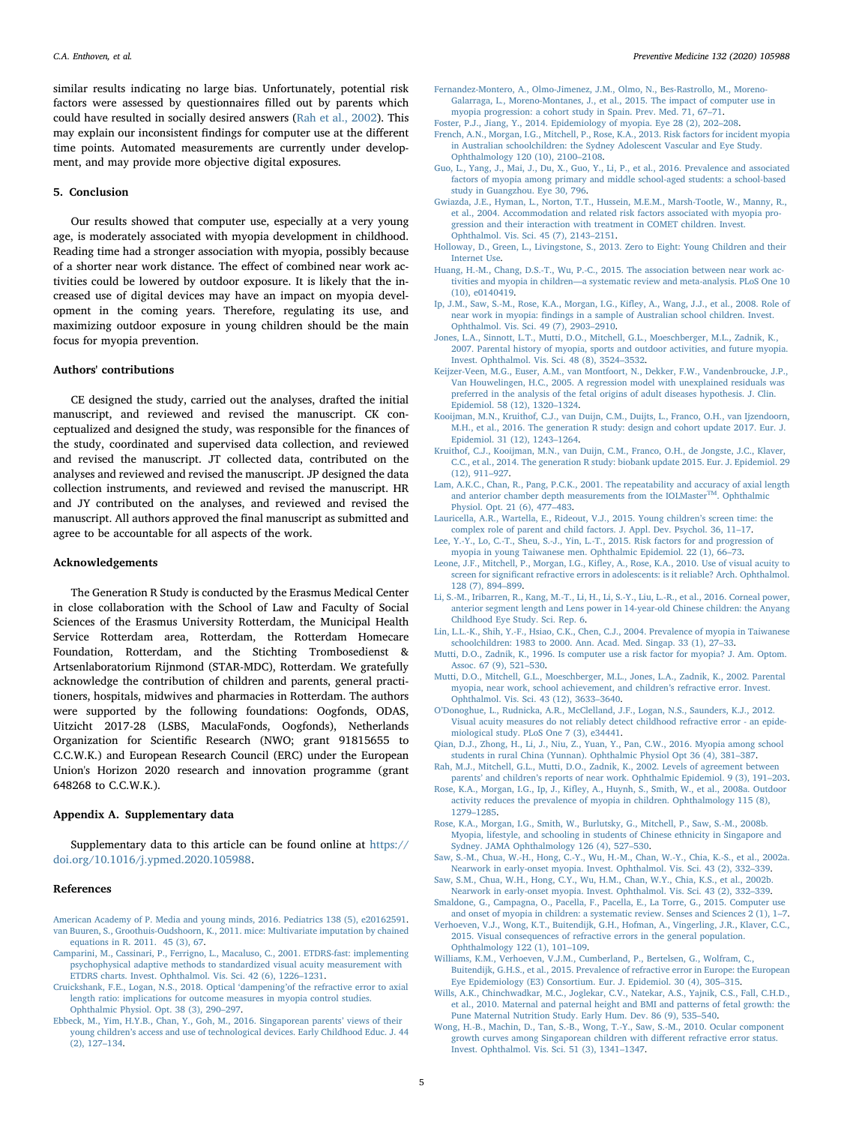similar results indicating no large bias. Unfortunately, potential risk factors were assessed by questionnaires filled out by parents which could have resulted in socially desired answers [\(Rah et al., 2002](#page-4-36)). This may explain our inconsistent findings for computer use at the different time points. Automated measurements are currently under development, and may provide more objective digital exposures.

# 5. Conclusion

Our results showed that computer use, especially at a very young age, is moderately associated with myopia development in childhood. Reading time had a stronger association with myopia, possibly because of a shorter near work distance. The effect of combined near work activities could be lowered by outdoor exposure. It is likely that the increased use of digital devices may have an impact on myopia development in the coming years. Therefore, regulating its use, and maximizing outdoor exposure in young children should be the main focus for myopia prevention.

#### Authors' contributions

CE designed the study, carried out the analyses, drafted the initial manuscript, and reviewed and revised the manuscript. CK conceptualized and designed the study, was responsible for the finances of the study, coordinated and supervised data collection, and reviewed and revised the manuscript. JT collected data, contributed on the analyses and reviewed and revised the manuscript. JP designed the data collection instruments, and reviewed and revised the manuscript. HR and JY contributed on the analyses, and reviewed and revised the manuscript. All authors approved the final manuscript as submitted and agree to be accountable for all aspects of the work.

### Acknowledgements

The Generation R Study is conducted by the Erasmus Medical Center in close collaboration with the School of Law and Faculty of Social Sciences of the Erasmus University Rotterdam, the Municipal Health Service Rotterdam area, Rotterdam, the Rotterdam Homecare Foundation, Rotterdam, and the Stichting Trombosedienst & Artsenlaboratorium Rijnmond (STAR-MDC), Rotterdam. We gratefully acknowledge the contribution of children and parents, general practitioners, hospitals, midwives and pharmacies in Rotterdam. The authors were supported by the following foundations: Oogfonds, ODAS, Uitzicht 2017-28 (LSBS, MaculaFonds, Oogfonds), Netherlands Organization for Scientific Research (NWO; grant 91815655 to C.C.W.K.) and European Research Council (ERC) under the European Union's Horizon 2020 research and innovation programme (grant 648268 to C.C.W.K.).

#### Appendix A. Supplementary data

Supplementary data to this article can be found online at [https://](https://doi.org/10.1016/j.ypmed.2020.105988) [doi.org/10.1016/j.ypmed.2020.105988](https://doi.org/10.1016/j.ypmed.2020.105988).

#### References

- <span id="page-4-20"></span><span id="page-4-11"></span>[American Academy of P. Media and young minds, 2016. Pediatrics 138 \(5\), e20162591.](http://refhub.elsevier.com/S0091-7435(20)30012-8/rf0005) [van Buuren, S., Groothuis-Oudshoorn, K., 2011. mice: Multivariate imputation by chained](http://refhub.elsevier.com/S0091-7435(20)30012-8/rf0010) [equations in R. 2011. 45 \(3\), 67.](http://refhub.elsevier.com/S0091-7435(20)30012-8/rf0010)
- <span id="page-4-17"></span>[Camparini, M., Cassinari, P., Ferrigno, L., Macaluso, C., 2001. ETDRS-fast: implementing](http://refhub.elsevier.com/S0091-7435(20)30012-8/rf0015) [psychophysical adaptive methods to standardized visual acuity measurement with](http://refhub.elsevier.com/S0091-7435(20)30012-8/rf0015) [ETDRS charts. Invest. Ophthalmol. Vis. Sci. 42 \(6\), 1226](http://refhub.elsevier.com/S0091-7435(20)30012-8/rf0015)–1231.
- <span id="page-4-23"></span>[Cruickshank, F.E., Logan, N.S., 2018. Optical](http://refhub.elsevier.com/S0091-7435(20)30012-8/rf0020) 'dampening'of the refractive error to axial [length ratio: implications for outcome measures in myopia control studies.](http://refhub.elsevier.com/S0091-7435(20)30012-8/rf0020) [Ophthalmic Physiol. Opt. 38 \(3\), 290](http://refhub.elsevier.com/S0091-7435(20)30012-8/rf0020)–297.
- <span id="page-4-10"></span>[Ebbeck, M., Yim, H.Y.B., Chan, Y., Goh, M., 2016. Singaporean parents](http://refhub.elsevier.com/S0091-7435(20)30012-8/rf0025)' views of their young children'[s access and use of technological devices. Early Childhood Educ. J. 44](http://refhub.elsevier.com/S0091-7435(20)30012-8/rf0025) [\(2\), 127](http://refhub.elsevier.com/S0091-7435(20)30012-8/rf0025)–134.
- <span id="page-4-30"></span>[Fernandez-Montero, A., Olmo-Jimenez, J.M., Olmo, N., Bes-Rastrollo, M., Moreno-](http://refhub.elsevier.com/S0091-7435(20)30012-8/rf0030)[Galarraga, L., Moreno-Montanes, J., et al., 2015. The impact of computer use in](http://refhub.elsevier.com/S0091-7435(20)30012-8/rf0030) [myopia progression: a cohort study in Spain. Prev. Med. 71, 67](http://refhub.elsevier.com/S0091-7435(20)30012-8/rf0030)–71.
- <span id="page-4-34"></span><span id="page-4-3"></span>[Foster, P.J., Jiang, Y., 2014. Epidemiology of myopia. Eye 28 \(2\), 202](http://refhub.elsevier.com/S0091-7435(20)30012-8/rf0035)–208. [French, A.N., Morgan, I.G., Mitchell, P., Rose, K.A., 2013. Risk factors for incident myopia](http://refhub.elsevier.com/S0091-7435(20)30012-8/rf0040) [in Australian schoolchildren: the Sydney Adolescent Vascular and Eye Study.](http://refhub.elsevier.com/S0091-7435(20)30012-8/rf0040) [Ophthalmology 120 \(10\), 2100](http://refhub.elsevier.com/S0091-7435(20)30012-8/rf0040)–2108.
- <span id="page-4-32"></span>[Guo, L., Yang, J., Mai, J., Du, X., Guo, Y., Li, P., et al., 2016. Prevalence and associated](http://refhub.elsevier.com/S0091-7435(20)30012-8/rf0045) [factors of myopia among primary and middle school-aged students: a school-based](http://refhub.elsevier.com/S0091-7435(20)30012-8/rf0045) [study in Guangzhou. Eye 30, 796.](http://refhub.elsevier.com/S0091-7435(20)30012-8/rf0045)
- <span id="page-4-33"></span>[Gwiazda, J.E., Hyman, L., Norton, T.T., Hussein, M.E.M., Marsh-Tootle, W., Manny, R.,](http://refhub.elsevier.com/S0091-7435(20)30012-8/rf0050) [et al., 2004. Accommodation and related risk factors associated with myopia pro](http://refhub.elsevier.com/S0091-7435(20)30012-8/rf0050)[gression and their interaction with treatment in COMET children. Invest.](http://refhub.elsevier.com/S0091-7435(20)30012-8/rf0050) [Ophthalmol. Vis. Sci. 45 \(7\), 2143](http://refhub.elsevier.com/S0091-7435(20)30012-8/rf0050)–2151.
- <span id="page-4-9"></span>[Holloway, D., Green, L., Livingstone, S., 2013. Zero to Eight: Young Children and their](http://refhub.elsevier.com/S0091-7435(20)30012-8/rf0055) [Internet Use](http://refhub.elsevier.com/S0091-7435(20)30012-8/rf0055).
- <span id="page-4-6"></span>[Huang, H.-M., Chang, D.S.-T., Wu, P.-C., 2015. The association between near work ac](http://refhub.elsevier.com/S0091-7435(20)30012-8/rf0060)tivities and myopia in children—[a systematic review and meta-analysis. PLoS One 10](http://refhub.elsevier.com/S0091-7435(20)30012-8/rf0060) [\(10\), e0140419.](http://refhub.elsevier.com/S0091-7435(20)30012-8/rf0060)
- <span id="page-4-7"></span>[Ip, J.M., Saw, S.-M., Rose, K.A., Morgan, I.G., Ki](http://refhub.elsevier.com/S0091-7435(20)30012-8/rf0065)fley, A., Wang, J.J., et al., 2008. Role of near work in myopia: fi[ndings in a sample of Australian school children. Invest.](http://refhub.elsevier.com/S0091-7435(20)30012-8/rf0065) [Ophthalmol. Vis. Sci. 49 \(7\), 2903](http://refhub.elsevier.com/S0091-7435(20)30012-8/rf0065)–2910.
- <span id="page-4-35"></span>[Jones, L.A., Sinnott, L.T., Mutti, D.O., Mitchell, G.L., Moeschberger, M.L., Zadnik, K.,](http://refhub.elsevier.com/S0091-7435(20)30012-8/rf0070) [2007. Parental history of myopia, sports and outdoor activities, and future myopia.](http://refhub.elsevier.com/S0091-7435(20)30012-8/rf0070) [Invest. Ophthalmol. Vis. Sci. 48 \(8\), 3524](http://refhub.elsevier.com/S0091-7435(20)30012-8/rf0070)–3532.
- <span id="page-4-21"></span>[Keijzer-Veen, M.G., Euser, A.M., van Montfoort, N., Dekker, F.W., Vandenbroucke, J.P.,](http://refhub.elsevier.com/S0091-7435(20)30012-8/rf0075) [Van Houwelingen, H.C., 2005. A regression model with unexplained residuals was](http://refhub.elsevier.com/S0091-7435(20)30012-8/rf0075) [preferred in the analysis of the fetal origins of adult diseases hypothesis. J. Clin.](http://refhub.elsevier.com/S0091-7435(20)30012-8/rf0075) [Epidemiol. 58 \(12\), 1320](http://refhub.elsevier.com/S0091-7435(20)30012-8/rf0075)–1324.
- <span id="page-4-15"></span>[Kooijman, M.N., Kruithof, C.J., van Duijn, C.M., Duijts, L., Franco, O.H., van Ijzendoorn,](http://refhub.elsevier.com/S0091-7435(20)30012-8/rf0080) [M.H., et al., 2016. The generation R study: design and cohort update 2017. Eur. J.](http://refhub.elsevier.com/S0091-7435(20)30012-8/rf0080) [Epidemiol. 31 \(12\), 1243](http://refhub.elsevier.com/S0091-7435(20)30012-8/rf0080)–1264.
- <span id="page-4-16"></span>[Kruithof, C.J., Kooijman, M.N., van Duijn, C.M., Franco, O.H., de Jongste, J.C., Klaver,](http://refhub.elsevier.com/S0091-7435(20)30012-8/rf0085) [C.C., et al., 2014. The generation R study: biobank update 2015. Eur. J. Epidemiol. 29](http://refhub.elsevier.com/S0091-7435(20)30012-8/rf0085) [\(12\), 911](http://refhub.elsevier.com/S0091-7435(20)30012-8/rf0085)–927.
- <span id="page-4-24"></span>[Lam, A.K.C., Chan, R., Pang, P.C.K., 2001. The repeatability and accuracy of axial length](http://refhub.elsevier.com/S0091-7435(20)30012-8/rf0090) [and anterior chamber depth measurements from the IOLMasterTM. Ophthalmic](http://refhub.elsevier.com/S0091-7435(20)30012-8/rf0090) [Physiol. Opt. 21 \(6\), 477](http://refhub.elsevier.com/S0091-7435(20)30012-8/rf0090)–483.
- <span id="page-4-12"></span>[Lauricella, A.R., Wartella, E., Rideout, V.J., 2015. Young children](http://refhub.elsevier.com/S0091-7435(20)30012-8/rf0095)'s screen time: the [complex role of parent and child factors. J. Appl. Dev. Psychol. 36, 11](http://refhub.elsevier.com/S0091-7435(20)30012-8/rf0095)–17.
- <span id="page-4-31"></span>[Lee, Y.-Y., Lo, C.-T., Sheu, S.-J., Yin, L.-T., 2015. Risk factors for and progression of](http://refhub.elsevier.com/S0091-7435(20)30012-8/rf0100) [myopia in young Taiwanese men. Ophthalmic Epidemiol. 22 \(1\), 66](http://refhub.elsevier.com/S0091-7435(20)30012-8/rf0100)–73.
- <span id="page-4-18"></span>Leone, J.F., Mitchell, P., Morgan, I.G., Kifl[ey, A., Rose, K.A., 2010. Use of visual acuity to](http://refhub.elsevier.com/S0091-7435(20)30012-8/rf0105) screen for signifi[cant refractive errors in adolescents: is it reliable? Arch. Ophthalmol.](http://refhub.elsevier.com/S0091-7435(20)30012-8/rf0105) [128 \(7\), 894](http://refhub.elsevier.com/S0091-7435(20)30012-8/rf0105)–899.
- <span id="page-4-1"></span>[Li, S.-M., Iribarren, R., Kang, M.-T., Li, H., Li, S.-Y., Liu, L.-R., et al., 2016. Corneal power,](http://refhub.elsevier.com/S0091-7435(20)30012-8/rf0110) [anterior segment length and Lens power in 14-year-old Chinese children: the Anyang](http://refhub.elsevier.com/S0091-7435(20)30012-8/rf0110) [Childhood Eye Study. Sci. Rep. 6.](http://refhub.elsevier.com/S0091-7435(20)30012-8/rf0110)
- <span id="page-4-4"></span>[Lin, L.L.-K., Shih, Y.-F., Hsiao, C.K., Chen, C.J., 2004. Prevalence of myopia in Taiwanese](http://refhub.elsevier.com/S0091-7435(20)30012-8/rf0115) [schoolchildren: 1983 to 2000. Ann. Acad. Med. Singap. 33 \(1\), 27](http://refhub.elsevier.com/S0091-7435(20)30012-8/rf0115)–33.
- <span id="page-4-25"></span>[Mutti, D.O., Zadnik, K., 1996. Is computer use a risk factor for myopia? J. Am. Optom.](http://refhub.elsevier.com/S0091-7435(20)30012-8/rf0120) [Assoc. 67 \(9\), 521](http://refhub.elsevier.com/S0091-7435(20)30012-8/rf0120)–530.
- <span id="page-4-26"></span>[Mutti, D.O., Mitchell, G.L., Moeschberger, M.L., Jones, L.A., Zadnik, K., 2002. Parental](http://refhub.elsevier.com/S0091-7435(20)30012-8/rf0125) [myopia, near work, school achievement, and children](http://refhub.elsevier.com/S0091-7435(20)30012-8/rf0125)'s refractive error. Invest. [Ophthalmol. Vis. Sci. 43 \(12\), 3633](http://refhub.elsevier.com/S0091-7435(20)30012-8/rf0125)–3640.
- <span id="page-4-19"></span>O'[Donoghue, L., Rudnicka, A.R., McClelland, J.F., Logan, N.S., Saunders, K.J., 2012.](http://refhub.elsevier.com/S0091-7435(20)30012-8/rf0130) [Visual acuity measures do not reliably detect childhood refractive error - an epide](http://refhub.elsevier.com/S0091-7435(20)30012-8/rf0130)[miological study. PLoS One 7 \(3\), e34441](http://refhub.elsevier.com/S0091-7435(20)30012-8/rf0130).
- <span id="page-4-29"></span>[Qian, D.J., Zhong, H., Li, J., Niu, Z., Yuan, Y., Pan, C.W., 2016. Myopia among school](http://refhub.elsevier.com/S0091-7435(20)30012-8/rf0135) [students in rural China \(Yunnan\). Ophthalmic Physiol Opt 36 \(4\), 381](http://refhub.elsevier.com/S0091-7435(20)30012-8/rf0135)–387. [Rah, M.J., Mitchell, G.L., Mutti, D.O., Zadnik, K., 2002. Levels of agreement between](http://refhub.elsevier.com/S0091-7435(20)30012-8/rf0140)
- <span id="page-4-36"></span>parents' and children'[s reports of near work. Ophthalmic Epidemiol. 9 \(3\), 191](http://refhub.elsevier.com/S0091-7435(20)30012-8/rf0140)–203.
- <span id="page-4-8"></span>Rose, K.A., Morgan, I.G., Ip, J., Kifl[ey, A., Huynh, S., Smith, W., et al., 2008a. Outdoor](http://refhub.elsevier.com/S0091-7435(20)30012-8/rf0145) [activity reduces the prevalence of myopia in children. Ophthalmology 115 \(8\),](http://refhub.elsevier.com/S0091-7435(20)30012-8/rf0145) 1279–[1285](http://refhub.elsevier.com/S0091-7435(20)30012-8/rf0145).
- <span id="page-4-27"></span>[Rose, K.A., Morgan, I.G., Smith, W., Burlutsky, G., Mitchell, P., Saw, S.-M., 2008b.](http://refhub.elsevier.com/S0091-7435(20)30012-8/rf0150) [Myopia, lifestyle, and schooling in students of Chinese ethnicity in Singapore and](http://refhub.elsevier.com/S0091-7435(20)30012-8/rf0150) [Sydney. JAMA Ophthalmology 126 \(4\), 527](http://refhub.elsevier.com/S0091-7435(20)30012-8/rf0150)–530.
- <span id="page-4-14"></span>[Saw, S.-M., Chua, W.-H., Hong, C.-Y., Wu, H.-M., Chan, W.-Y., Chia, K.-S., et al., 2002a.](http://refhub.elsevier.com/S0091-7435(20)30012-8/rf0155) [Nearwork in early-onset myopia. Invest. Ophthalmol. Vis. Sci. 43 \(2\), 332](http://refhub.elsevier.com/S0091-7435(20)30012-8/rf0155)–339.
- <span id="page-4-28"></span>[Saw, S.M., Chua, W.H., Hong, C.Y., Wu, H.M., Chan, W.Y., Chia, K.S., et al., 2002b.](http://refhub.elsevier.com/S0091-7435(20)30012-8/rf0160) [Nearwork in early-onset myopia. Invest. Ophthalmol. Vis. Sci. 43 \(2\), 332](http://refhub.elsevier.com/S0091-7435(20)30012-8/rf0160)–339.
- <span id="page-4-13"></span>[Smaldone, G., Campagna, O., Pacella, F., Pacella, E., La Torre, G., 2015. Computer use](http://refhub.elsevier.com/S0091-7435(20)30012-8/rf0165) [and onset of myopia in children: a systematic review. Senses and Sciences 2 \(1\), 1](http://refhub.elsevier.com/S0091-7435(20)30012-8/rf0165)–7.
- <span id="page-4-2"></span>[Verhoeven, V.J., Wong, K.T., Buitendijk, G.H., Hofman, A., Vingerling, J.R., Klaver, C.C.,](http://refhub.elsevier.com/S0091-7435(20)30012-8/rf0170) [2015. Visual consequences of refractive errors in the general population.](http://refhub.elsevier.com/S0091-7435(20)30012-8/rf0170) [Ophthalmology 122 \(1\), 101](http://refhub.elsevier.com/S0091-7435(20)30012-8/rf0170)–109.
- <span id="page-4-5"></span>Williams, [K.M., Verhoeven, V.J.M., Cumberland, P., Bertelsen, G., Wolfram, C.,](http://refhub.elsevier.com/S0091-7435(20)30012-8/rf0175) [Buitendijk, G.H.S., et al., 2015. Prevalence of refractive error in Europe: the European](http://refhub.elsevier.com/S0091-7435(20)30012-8/rf0175) [Eye Epidemiology \(E3\) Consortium. Eur. J. Epidemiol. 30 \(4\), 305](http://refhub.elsevier.com/S0091-7435(20)30012-8/rf0175)–315.
- <span id="page-4-22"></span>[Wills, A.K., Chinchwadkar, M.C., Joglekar, C.V., Natekar, A.S., Yajnik, C.S., Fall, C.H.D.,](http://refhub.elsevier.com/S0091-7435(20)30012-8/rf0180) [et al., 2010. Maternal and paternal height and BMI and patterns of fetal growth: the](http://refhub.elsevier.com/S0091-7435(20)30012-8/rf0180) [Pune Maternal Nutrition Study. Early Hum. Dev. 86 \(9\), 535](http://refhub.elsevier.com/S0091-7435(20)30012-8/rf0180)–540.
- <span id="page-4-0"></span>[Wong, H.-B., Machin, D., Tan, S.-B., Wong, T.-Y., Saw, S.-M., 2010. Ocular component](http://refhub.elsevier.com/S0091-7435(20)30012-8/rf0185) [growth curves among Singaporean children with di](http://refhub.elsevier.com/S0091-7435(20)30012-8/rf0185)fferent refractive error status. [Invest. Ophthalmol. Vis. Sci. 51 \(3\), 1341](http://refhub.elsevier.com/S0091-7435(20)30012-8/rf0185)–1347.